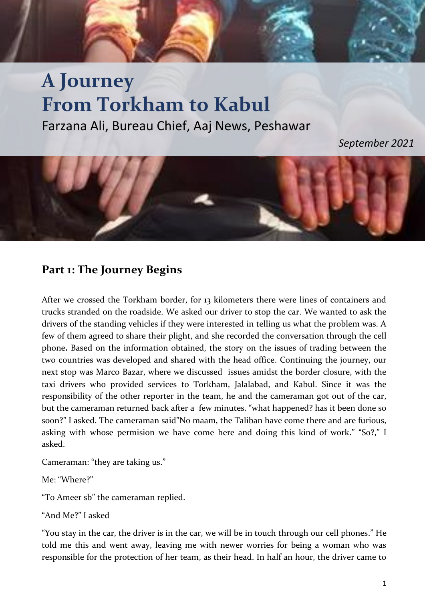## **A Journey From Torkham to Kabul** Farzana Ali, Bureau Chief, Aaj News, Peshawar

*September 2021*



## **Part 1: The Journey Begins**

After we crossed the Torkham border, for 13 kilometers there were lines of containers and trucks stranded on the roadside. We asked our driver to stop the car. We wanted to ask the drivers of the standing vehicles if they were interested in telling us what the problem was. A few of them agreed to share their plight, and she recorded the conversation through the cell phone**.** Based on the information obtained, the story on the issues of trading between the two countries was developed and shared with the head office. Continuing the journey, our next stop was Marco Bazar, where we discussed issues amidst the border closure, with the taxi drivers who provided services to Torkham, Jalalabad, and Kabul. Since it was the responsibility of the other reporter in the team, he and the cameraman got out of the car, but the cameraman returned back after a few minutes. "what happened? has it been done so soon?" I asked. The cameraman said"No maam, the Taliban have come there and are furious, asking with whose permision we have come here and doing this kind of work." "So?," I asked.

Cameraman: "they are taking us."

Me: "Where?"

"To Ameer sb" the cameraman replied.

"And Me?" I asked

"You stay in the car, the driver is in the car, we will be in touch through our cell phones." He told me this and went away, leaving me with newer worries for being a woman who was responsible for the protection of her team, as their head. In half an hour, the driver came to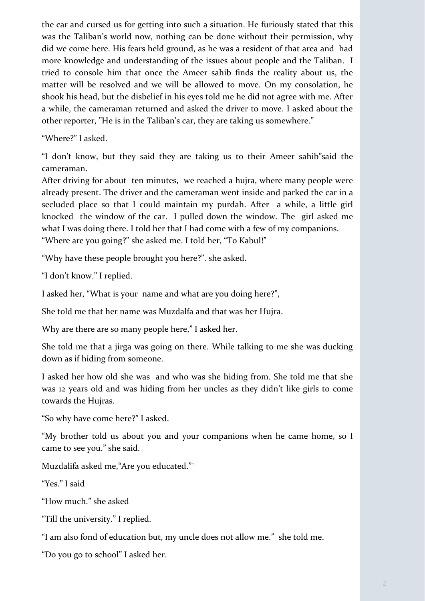the car and cursed us for getting into such a situation. He furiously stated that this was the Taliban's world now, nothing can be done without their permission, why did we come here. His fears held ground, as he was a resident of that area and had more knowledge and understanding of the issues about people and the Taliban. I tried to console him that once the Ameer sahib finds the reality about us, the matter will be resolved and we will be allowed to move. On my consolation, he shook his head, but the disbelief in his eyes told me he did not agree with me. After a while, the cameraman returned and asked the driver to move. I asked about the other reporter, "He is in the Taliban's car, they are taking us somewhere."

"Where?" I asked.

"I don't know, but they said they are taking us to their Ameer sahib"said the cameraman.

After driving for about ten minutes, we reached a hujra, where many people were already present. The driver and the cameraman went inside and parked the car in a secluded place so that I could maintain my purdah. After a while, a little girl knocked the window of the car. I pulled down the window. The girl asked me what I was doing there. I told her that I had come with a few of my companions. "Where are you going?" she asked me. I told her, "To Kabul!"

"Why have these people brought you here?". she asked.

"I don't know." I replied.

I asked her, "What is your name and what are you doing here?",

She told me that her name was Muzdalfa and that was her Hujra.

Why are there are so many people here," I asked her.

She told me that a jirga was going on there. While talking to me she was ducking down as if hiding from someone.

I asked her how old she was and who was she hiding from. She told me that she was 12 years old and was hiding from her uncles as they didn't like girls to come towards the Hujras.

"So why have come here?" I asked.

"My brother told us about you and your companions when he came home, so I came to see you." she said.

Muzdalifa asked me,"Are you educated."`

"Yes." I said

"How much." she asked

"Till the university." I replied.

"I am also fond of education but, my uncle does not allow me." she told me.

"Do you go to school" I asked her.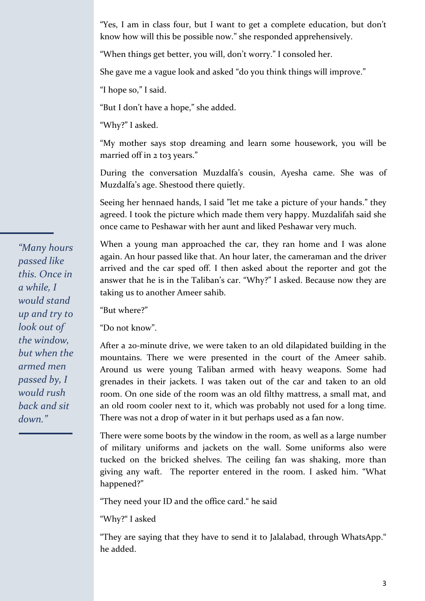"Yes, I am in class four, but I want to get a complete education, but don't know how will this be possible now." she responded apprehensively.

"When things get better, you will, don't worry." I consoled her.

She gave me a vague look and asked "do you think things will improve."

"I hope so," I said.

"But I don't have a hope," she added.

"Why?" I asked.

"My mother says stop dreaming and learn some housework, you will be married off in 2 to3 years."

During the conversation Muzdalfa's cousin, Ayesha came. She was of Muzdalfa's age. Shestood there quietly.

Seeing her hennaed hands, I said "let me take a picture of your hands." they agreed. I took the picture which made them very happy. Muzdalifah said she once came to Peshawar with her aunt and liked Peshawar very much.

When a young man approached the car, they ran home and I was alone again. An hour passed like that. An hour later, the cameraman and the driver arrived and the car sped off. I then asked about the reporter and got the answer that he is in the Taliban's car. "Why?" I asked. Because now they are taking us to another Ameer sahib.

"But where?"

"Do not know".

After a 20-minute drive, we were taken to an old dilapidated building in the mountains. There we were presented in the court of the Ameer sahib. Around us were young Taliban armed with heavy weapons. Some had grenades in their jackets. I was taken out of the car and taken to an old room. On one side of the room was an old filthy mattress, a small mat, and an old room cooler next to it, which was probably not used for a long time. There was not a drop of water in it but perhaps used as a fan now.

There were some boots by the window in the room, as well as a large number of military uniforms and jackets on the wall. Some uniforms also were tucked on the bricked shelves. The ceiling fan was shaking, more than giving any waft. The reporter entered in the room. I asked him. "What happened?"

"They need your ID and the office card." he said

"Why?" I asked

"They are saying that they have to send it to Jalalabad, through WhatsApp." he added.

*"Many hours passed like this. Once in a while, I would stand up and try to look out of the window, but when the armed men passed by, I would rush back and sit down."*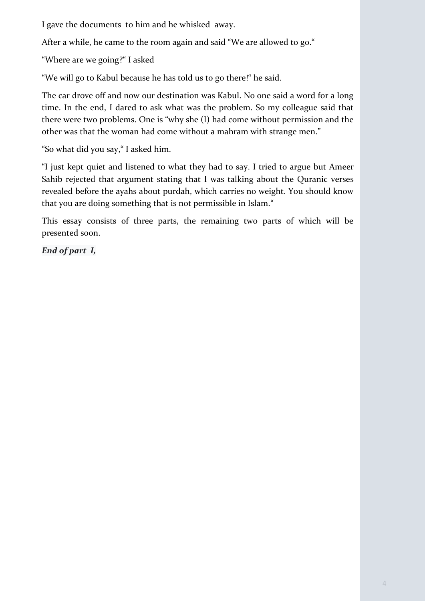I gave the documents to him and he whisked away.

After a while, he came to the room again and said "We are allowed to go."

"Where are we going?" I asked

"We will go to Kabul because he has told us to go there!" he said.

The car drove off and now our destination was Kabul. No one said a word for a long time. In the end, I dared to ask what was the problem. So my colleague said that there were two problems. One is "why she (I) had come without permission and the other was that the woman had come without a mahram with strange men."

"So what did you say," I asked him.

"I just kept quiet and listened to what they had to say. I tried to argue but Ameer Sahib rejected that argument stating that I was talking about the Quranic verses revealed before the ayahs about purdah, which carries no weight. You should know that you are doing something that is not permissible in Islam."

This essay consists of three parts, the remaining two parts of which will be presented soon.

*End of part I,*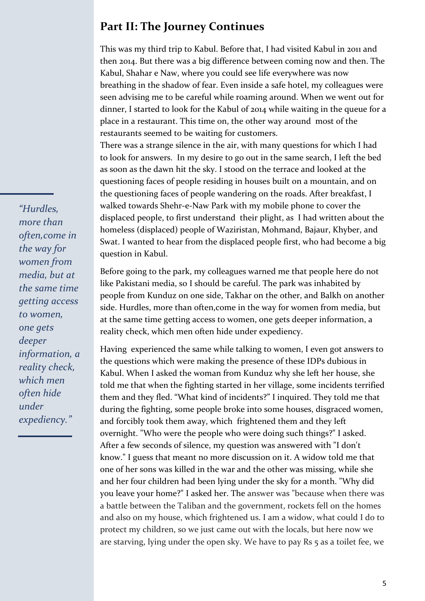## **Part II: The Journey Continues**

This was my third trip to Kabul. Before that, I had visited Kabul in 2011 and then 2014. But there was a big difference between coming now and then. The Kabul, Shahar e Naw, where you could see life everywhere was now breathing in the shadow of fear. Even inside a safe hotel, my colleagues were seen advising me to be careful while roaming around. When we went out for dinner, I started to look for the Kabul of 2014 while waiting in the queue for a place in a restaurant. This time on, the other way around most of the restaurants seemed to be waiting for customers.

There was a strange silence in the air, with many questions for which I had to look for answers. In my desire to go out in the same search, I left the bed as soon as the dawn hit the sky. I stood on the terrace and looked at the questioning faces of people residing in houses built on a mountain, and on the questioning faces of people wandering on the roads. After breakfast, I walked towards Shehr-e-Naw Park with my mobile phone to cover the displaced people, to first understand their plight, as I had written about the homeless (displaced) people of Waziristan, Mohmand, Bajaur, Khyber, and Swat. I wanted to hear from the displaced people first, who had become a big question in Kabul.

Before going to the park, my colleagues warned me that people here do not like Pakistani media, so I should be careful. The park was inhabited by people from Kunduz on one side, Takhar on the other, and Balkh on another side. Hurdles, more than often,come in the way for women from media, but at the same time getting access to women, one gets deeper information, a reality check, which men often hide under expediency.

Having experienced the same while talking to women, I even got answers to the questions which were making the presence of these IDPs dubious in Kabul. When I asked the woman from Kunduz why she left her house, she told me that when the fighting started in her village, some incidents terrified them and they fled. "What kind of incidents?" I inquired. They told me that during the fighting, some people broke into some houses, disgraced women, and forcibly took them away, which frightened them and they left overnight. "Who were the people who were doing such things?" I asked. After a few seconds of silence, my question was answered with "I don't know." I guess that meant no more discussion on it. A widow told me that one of her sons was killed in the war and the other was missing, while she and her four children had been lying under the sky for a month. "Why did you leave your home?" I asked her. The answer was "because when there was a battle between the Taliban and the government, rockets fell on the homes and also on my house, which frightened us. I am a widow, what could I do to protect my children, so we just came out with the locals, but here now we are starving, lying under the open sky. We have to pay Rs 5 as a toilet fee, we

*"Hurdles, more than often,come in the way for women from media, but at the same time getting access to women, one gets deeper information, a reality check, which men often hide under expediency."*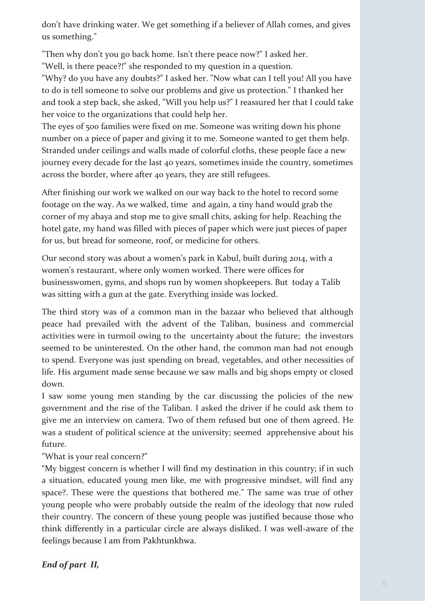don't have drinking water. We get something if a believer of Allah comes, and gives us something."

"Then why don't you go back home. Isn't there peace now?" I asked her. "Well, is there peace?!" she responded to my question in a question.

"Why? do you have any doubts?" I asked her. "Now what can I tell you! All you have to do is tell someone to solve our problems and give us protection." I thanked her and took a step back, she asked, "Will you help us?" I reassured her that I could take her voice to the organizations that could help her.

The eyes of 500 families were fixed on me. Someone was writing down his phone number on a piece of paper and giving it to me. Someone wanted to get them help. Stranded under ceilings and walls made of colorful cloths, these people face a new journey every decade for the last 40 years, sometimes inside the country, sometimes across the border, where after 40 years, they are still refugees.

After finishing our work we walked on our way back to the hotel to record some footage on the way. As we walked, time and again, a tiny hand would grab the corner of my abaya and stop me to give small chits, asking for help. Reaching the hotel gate, my hand was filled with pieces of paper which were just pieces of paper for us, but bread for someone, roof, or medicine for others.

Our second story was about a women's park in Kabul, built during 2014, with a women's restaurant, where only women worked. There were offices for businesswomen, gyms, and shops run by women shopkeepers. But today a Talib was sitting with a gun at the gate. Everything inside was locked.

The third story was of a common man in the bazaar who believed that although peace had prevailed with the advent of the Taliban, business and commercial activities were in turmoil owing to the uncertainty about the future; the investors seemed to be uninterested. On the other hand, the common man had not enough to spend. Everyone was just spending on bread, vegetables, and other necessities of life. His argument made sense because we saw malls and big shops empty or closed down.

I saw some young men standing by the car discussing the policies of the new government and the rise of the Taliban. I asked the driver if he could ask them to give me an interview on camera. Two of them refused but one of them agreed. He was a student of political science at the university; seemed apprehensive about his future.

"What is your real concern?"

"My biggest concern is whether I will find my destination in this country; if in such a situation, educated young men like, me with progressive mindset, will find any space?. These were the questions that bothered me." The same was true of other young people who were probably outside the realm of the ideology that now ruled their country. The concern of these young people was justified because those who think differently in a particular circle are always disliked. I was well-aware of the feelings because I am from Pakhtunkhwa.

*End of part II,*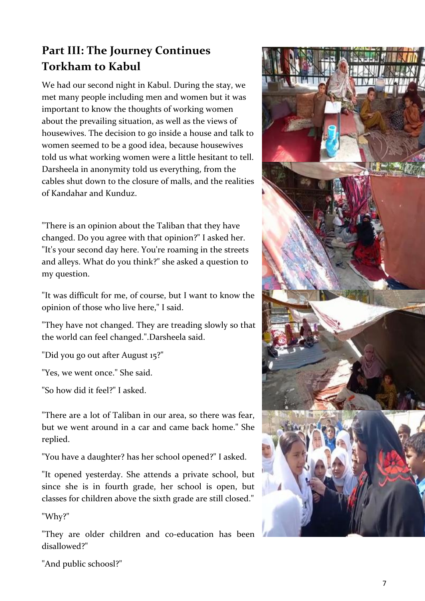## **Part III: The Journey Continues Torkham to Kabul**

We had our second night in Kabul. During the stay, we met many people including men and women but it was important to know the thoughts of working women about the prevailing situation, as well as the views of housewives. The decision to go inside a house and talk to women seemed to be a good idea, because housewives told us what working women were a little hesitant to tell. Darsheela in anonymity told us everything, from the cables shut down to the closure of malls, and the realities of Kandahar and Kunduz.

"There is an opinion about the Taliban that they have changed. Do you agree with that opinion?" I asked her. "It's your second day here. You're roaming in the streets and alleys. What do you think?" she asked a question to my question.

"It was difficult for me, of course, but I want to know the opinion of those who live here," I said.

"They have not changed. They are treading slowly so that the world can feel changed.".Darsheela said.

"Did you go out after August 15?"

"Yes, we went once." She said.

"So how did it feel?" I asked.

"There are a lot of Taliban in our area, so there was fear, but we went around in a car and came back home." She replied.

"You have a daughter? has her school opened?" I asked.

"It opened yesterday. She attends a private school, but since she is in fourth grade, her school is open, but classes for children above the sixth grade are still closed."

"Why?"

"They are older children and co-education has been disallowed?"



"And public schoosl?"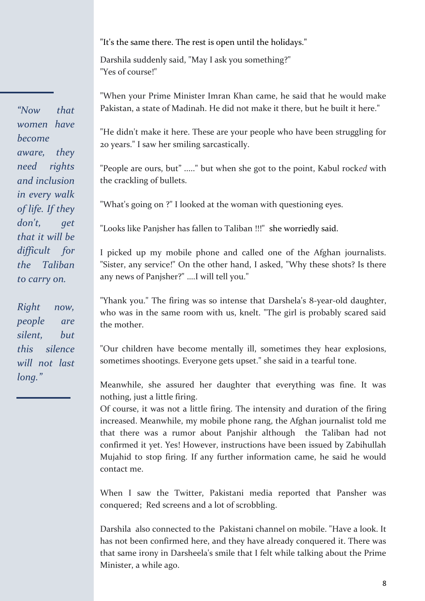"It's the same there. The rest is open until the holidays."

Darshila suddenly said, "May I ask you something?" "Yes of course!"

"When your Prime Minister Imran Khan came, he said that he would make Pakistan, a state of Madinah. He did not make it there, but he built it here."

"He didn't make it here. These are your people who have been struggling for 20 years." I saw her smiling sarcastically.

"People are ours, but" ....." but when she got to the point, Kabul rock*ed* with the crackling of bullets.

"What's going on ?" I looked at the woman with questioning eyes.

"Looks like Panjsher has fallen to Taliban !!!" she worriedly said.

I picked up my mobile phone and called one of the Afghan journalists. "Sister, any service!" On the other hand, I asked, "Why these shots? Is there any news of Panjsher?" ….I will tell you."

"Yhank you." The firing was so intense that Darshela's 8-year-old daughter, who was in the same room with us, knelt. "The girl is probably scared said the mother.

"Our children have become mentally ill, sometimes they hear explosions, sometimes shootings. Everyone gets upset." she said in a tearful tone.

Meanwhile, she assured her daughter that everything was fine. It was nothing, just a little firing.

Of course, it was not a little firing. The intensity and duration of the firing increased. Meanwhile, my mobile phone rang, the Afghan journalist told me that there was a rumor about Panjshir although the Taliban had not confirmed it yet. Yes! However, instructions have been issued by Zabihullah Mujahid to stop firing. If any further information came, he said he would contact me.

When I saw the Twitter, Pakistani media reported that Pansher was conquered; Red screens and a lot of scrobbling.

Darshila also connected to the Pakistani channel on mobile. "Have a look. It has not been confirmed here, and they have already conquered it. There was that same irony in Darsheela's smile that I felt while talking about the Prime Minister, a while ago.

*"Now that women have become aware, they need rights and inclusion in every walk of life. If they*  don't, get *that it will be difficult for the Taliban to carry on.* 

*Right now, people are silent, but this silence will not last long."*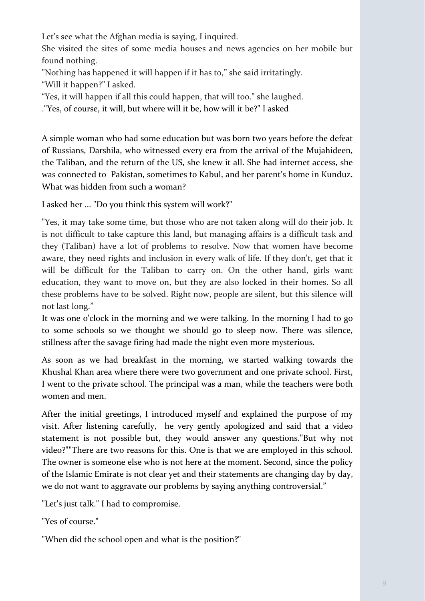Let's see what the Afghan media is saying, I inquired.

She visited the sites of some media houses and news agencies on her mobile but found nothing.

"Nothing has happened it will happen if it has to," she said irritatingly. "Will it happen?" I asked.

"Yes, it will happen if all this could happen, that will too." she laughed.

."Yes, of course, it will, but where will it be, how will it be?" I asked

A simple woman who had some education but was born two years before the defeat of Russians, Darshila, who witnessed every era from the arrival of the Mujahideen, the Taliban, and the return of the US, she knew it all. She had internet access, she was connected to Pakistan, sometimes to Kabul, and her parent's home in Kunduz. What was hidden from such a woman?

I asked her ... "Do you think this system will work?"

"Yes, it may take some time, but those who are not taken along will do their job. It is not difficult to take capture this land, but managing affairs is a difficult task and they (Taliban) have a lot of problems to resolve. Now that women have become aware, they need rights and inclusion in every walk of life. If they don't, get that it will be difficult for the Taliban to carry on. On the other hand, girls want education, they want to move on, but they are also locked in their homes. So all these problems have to be solved. Right now, people are silent, but this silence will not last long."

It was one o'clock in the morning and we were talking. In the morning I had to go to some schools so we thought we should go to sleep now. There was silence, stillness after the savage firing had made the night even more mysterious.

As soon as we had breakfast in the morning, we started walking towards the Khushal Khan area where there were two government and one private school. First, I went to the private school. The principal was a man, while the teachers were both women and men.

After the initial greetings, I introduced myself and explained the purpose of my visit. After listening carefully, he very gently apologized and said that a video statement is not possible but, they would answer any questions."But why not video?""There are two reasons for this. One is that we are employed in this school. The owner is someone else who is not here at the moment. Second, since the policy of the Islamic Emirate is not clear yet and their statements are changing day by day, we do not want to aggravate our problems by saying anything controversial."

"Let's just talk." I had to compromise.

"Yes of course."

"When did the school open and what is the position?"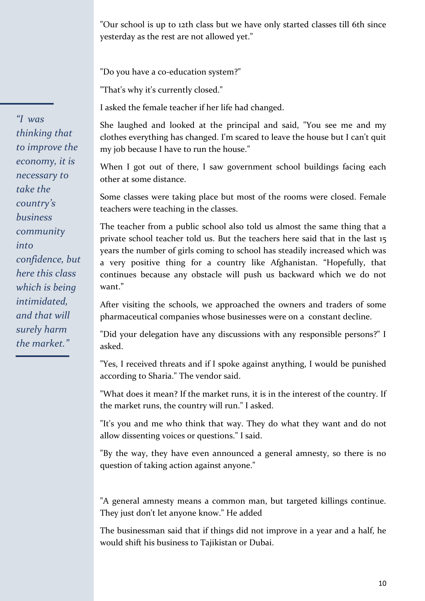"Our school is up to 12th class but we have only started classes till 6th since yesterday as the rest are not allowed yet."

"Do you have a co-education system?"

"That's why it's currently closed."

I asked the female teacher if her life had changed.

She laughed and looked at the principal and said, "You see me and my clothes everything has changed. I'm scared to leave the house but I can't quit my job because I have to run the house."

When I got out of there, I saw government school buildings facing each other at some distance.

Some classes were taking place but most of the rooms were closed. Female teachers were teaching in the classes.

The teacher from a public school also told us almost the same thing that a private school teacher told us. But the teachers here said that in the last 15 years the number of girls coming to school has steadily increased which was a very positive thing for a country like Afghanistan. "Hopefully, that continues because any obstacle will push us backward which we do not want"

After visiting the schools, we approached the owners and traders of some pharmaceutical companies whose businesses were on a constant decline.

"Did your delegation have any discussions with any responsible persons?" I asked.

"Yes, I received threats and if I spoke against anything, I would be punished according to Sharia." The vendor said.

"What does it mean? If the market runs, it is in the interest of the country. If the market runs, the country will run." I asked.

"It's you and me who think that way. They do what they want and do not allow dissenting voices or questions." I said.

"By the way, they have even announced a general amnesty, so there is no question of taking action against anyone."

"A general amnesty means a common man, but targeted killings continue. They just don't let anyone know." He added

The businessman said that if things did not improve in a year and a half, he would shift his business to Tajikistan or Dubai.

*"I was thinking that to improve the economy, it is necessary to take the country's business community into confidence, but here this class which is being intimidated, and that will surely harm the market."*